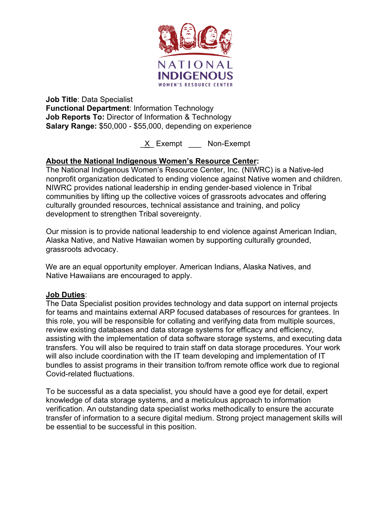

**Job Title**: Data Specialist **Functional Department**: Information Technology **Job Reports To:** Director of Information & Technology **Salary Range:** \$50,000 - \$55,000, depending on experience

X Exempt Non-Exempt

# **About the National Indigenous Women's Resource Center:**

The National Indigenous Women's Resource Center, Inc. (NIWRC) is a Native-led nonprofit organization dedicated to ending violence against Native women and children. NIWRC provides national leadership in ending gender-based violence in Tribal communities by lifting up the collective voices of grassroots advocates and offering culturally grounded resources, technical assistance and training, and policy development to strengthen Tribal sovereignty.

Our mission is to provide national leadership to end violence against American Indian, Alaska Native, and Native Hawaiian women by supporting culturally grounded, grassroots advocacy.

We are an equal opportunity employer. American Indians, Alaska Natives, and Native Hawaiians are encouraged to apply.

## **Job Duties**:

The Data Specialist position provides technology and data support on internal projects for teams and maintains external ARP focused databases of resources for grantees. In this role, you will be responsible for collating and verifying data from multiple sources, review existing databases and data storage systems for efficacy and efficiency, assisting with the implementation of data software storage systems, and executing data transfers. You will also be required to train staff on data storage procedures. Your work will also include coordination with the IT team developing and implementation of IT bundles to assist programs in their transition to/from remote office work due to regional Covid-related fluctuations.

To be successful as a data specialist, you should have a good eye for detail, expert knowledge of data storage systems, and a meticulous approach to information verification. An outstanding data specialist works methodically to ensure the accurate transfer of information to a secure digital medium. Strong project management skills will be essential to be successful in this position.